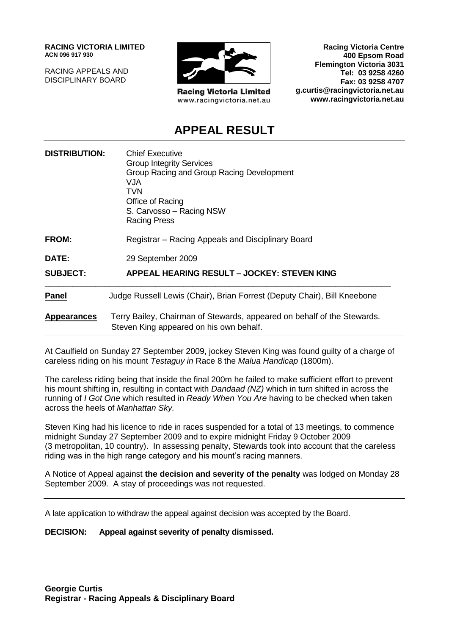**RACING VICTORIA LIMITED ACN 096 917 930**

RACING APPEALS AND DISCIPLINARY BOARD



**Racing Victoria Limited** www.racingvictoria.net.au

**Racing Victoria Centre 400 Epsom Road Flemington Victoria 3031 Tel: 03 9258 4260 Fax: 03 9258 4707 g.curtis@racingvictoria.net.au www.racingvictoria.net.au**

# **APPEAL RESULT**

| <b>DISTRIBUTION:</b> | <b>Chief Executive</b><br><b>Group Integrity Services</b><br>Group Racing and Group Racing Development<br>VJA.<br>TVN<br>Office of Racing<br>S. Carvosso - Racing NSW<br><b>Racing Press</b> |
|----------------------|----------------------------------------------------------------------------------------------------------------------------------------------------------------------------------------------|
| <b>FROM:</b>         | Registrar – Racing Appeals and Disciplinary Board                                                                                                                                            |
| DATE:                | 29 September 2009                                                                                                                                                                            |
| <b>SUBJECT:</b>      | <b>APPEAL HEARING RESULT - JOCKEY: STEVEN KING</b>                                                                                                                                           |
| Panel                | Judge Russell Lewis (Chair), Brian Forrest (Deputy Chair), Bill Kneebone                                                                                                                     |
| <b>Appearances</b>   | Terry Bailey, Chairman of Stewards, appeared on behalf of the Stewards.<br>Steven King appeared on his own behalf.                                                                           |

At Caulfield on Sunday 27 September 2009, jockey Steven King was found guilty of a charge of careless riding on his mount *Testaguy in* Race 8 the *Malua Handicap* (1800m).

The careless riding being that inside the final 200m he failed to make sufficient effort to prevent his mount shifting in, resulting in contact with *Dandaad (NZ)* which in turn shifted in across the running of *I Got One* which resulted in *Ready When You Are* having to be checked when taken across the heels of *Manhattan Sky.*

Steven King had his licence to ride in races suspended for a total of 13 meetings, to commence midnight Sunday 27 September 2009 and to expire midnight Friday 9 October 2009 (3 metropolitan, 10 country). In assessing penalty, Stewards took into account that the careless riding was in the high range category and his mount's racing manners.

A Notice of Appeal against **the decision and severity of the penalty** was lodged on Monday 28 September 2009. A stay of proceedings was not requested.

A late application to withdraw the appeal against decision was accepted by the Board.

**DECISION: Appeal against severity of penalty dismissed.**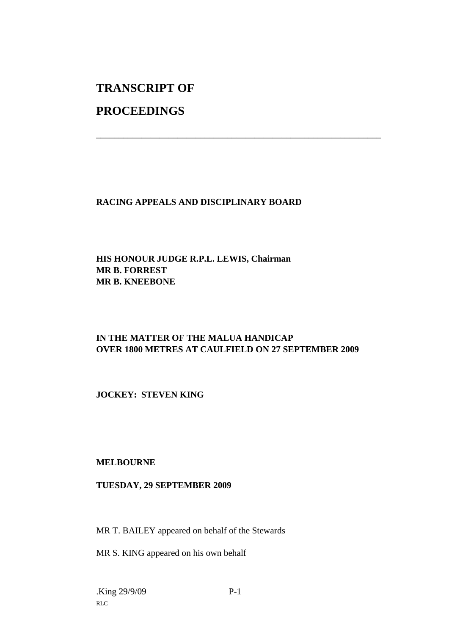# **TRANSCRIPT OF PROCEEDINGS**

**RACING APPEALS AND DISCIPLINARY BOARD**

\_\_\_\_\_\_\_\_\_\_\_\_\_\_\_\_\_\_\_\_\_\_\_\_\_\_\_\_\_\_\_\_\_\_\_\_\_\_\_\_\_\_\_\_\_\_\_\_\_\_\_\_\_\_\_\_\_\_\_\_\_\_\_

#### **HIS HONOUR JUDGE R.P.L. LEWIS, Chairman MR B. FORREST MR B. KNEEBONE**

## **IN THE MATTER OF THE MALUA HANDICAP OVER 1800 METRES AT CAULFIELD ON 27 SEPTEMBER 2009**

**JOCKEY: STEVEN KING**

#### **MELBOURNE**

#### **TUESDAY, 29 SEPTEMBER 2009**

MR T. BAILEY appeared on behalf of the Stewards

MR S. KING appeared on his own behalf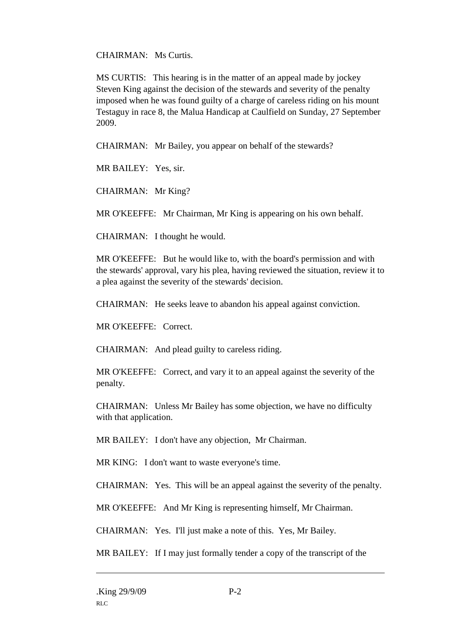CHAIRMAN: Ms Curtis.

MS CURTIS: This hearing is in the matter of an appeal made by jockey Steven King against the decision of the stewards and severity of the penalty imposed when he was found guilty of a charge of careless riding on his mount Testaguy in race 8, the Malua Handicap at Caulfield on Sunday, 27 September 2009.

CHAIRMAN: Mr Bailey, you appear on behalf of the stewards?

MR BAILEY: Yes, sir.

CHAIRMAN: Mr King?

MR O'KEEFFE: Mr Chairman, Mr King is appearing on his own behalf.

CHAIRMAN: I thought he would.

MR O'KEEFFE: But he would like to, with the board's permission and with the stewards' approval, vary his plea, having reviewed the situation, review it to a plea against the severity of the stewards' decision.

CHAIRMAN: He seeks leave to abandon his appeal against conviction.

MR O'KEEFFE: Correct.

CHAIRMAN: And plead guilty to careless riding.

MR O'KEEFFE: Correct, and vary it to an appeal against the severity of the penalty.

CHAIRMAN: Unless Mr Bailey has some objection, we have no difficulty with that application.

MR BAILEY: I don't have any objection, Mr Chairman.

MR KING: I don't want to waste everyone's time.

CHAIRMAN: Yes. This will be an appeal against the severity of the penalty.

MR O'KEEFFE: And Mr King is representing himself, Mr Chairman.

CHAIRMAN: Yes. I'll just make a note of this. Yes, Mr Bailey.

MR BAILEY: If I may just formally tender a copy of the transcript of the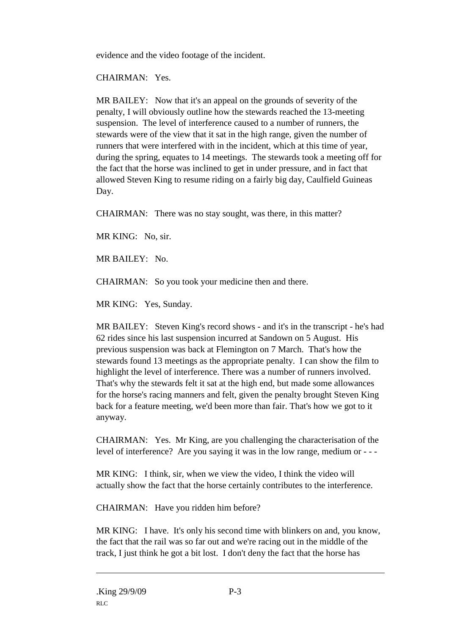evidence and the video footage of the incident.

CHAIRMAN: Yes.

MR BAILEY: Now that it's an appeal on the grounds of severity of the penalty, I will obviously outline how the stewards reached the 13-meeting suspension. The level of interference caused to a number of runners, the stewards were of the view that it sat in the high range, given the number of runners that were interfered with in the incident, which at this time of year, during the spring, equates to 14 meetings. The stewards took a meeting off for the fact that the horse was inclined to get in under pressure, and in fact that allowed Steven King to resume riding on a fairly big day, Caulfield Guineas Day.

CHAIRMAN: There was no stay sought, was there, in this matter?

MR KING: No, sir.

MR BAILEY: No.

CHAIRMAN: So you took your medicine then and there.

MR KING: Yes, Sunday.

MR BAILEY: Steven King's record shows - and it's in the transcript - he's had 62 rides since his last suspension incurred at Sandown on 5 August. His previous suspension was back at Flemington on 7 March. That's how the stewards found 13 meetings as the appropriate penalty. I can show the film to highlight the level of interference. There was a number of runners involved. That's why the stewards felt it sat at the high end, but made some allowances for the horse's racing manners and felt, given the penalty brought Steven King back for a feature meeting, we'd been more than fair. That's how we got to it anyway.

CHAIRMAN: Yes. Mr King, are you challenging the characterisation of the level of interference? Are you saying it was in the low range, medium or - - -

MR KING: I think, sir, when we view the video, I think the video will actually show the fact that the horse certainly contributes to the interference.

CHAIRMAN: Have you ridden him before?

MR KING: I have. It's only his second time with blinkers on and, you know, the fact that the rail was so far out and we're racing out in the middle of the track, I just think he got a bit lost. I don't deny the fact that the horse has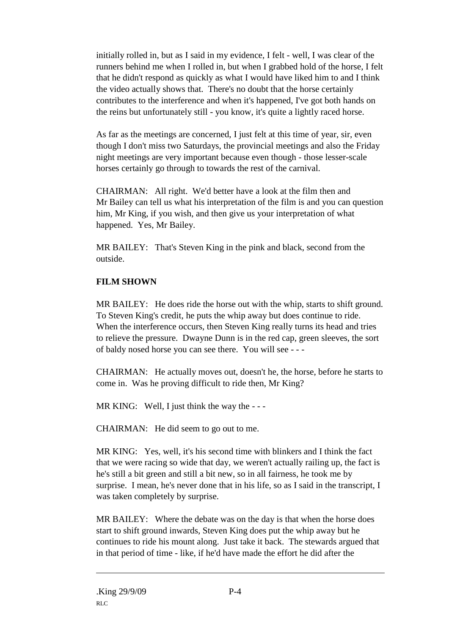initially rolled in, but as I said in my evidence, I felt - well, I was clear of the runners behind me when I rolled in, but when I grabbed hold of the horse, I felt that he didn't respond as quickly as what I would have liked him to and I think the video actually shows that. There's no doubt that the horse certainly contributes to the interference and when it's happened, I've got both hands on the reins but unfortunately still - you know, it's quite a lightly raced horse.

As far as the meetings are concerned, I just felt at this time of year, sir, even though I don't miss two Saturdays, the provincial meetings and also the Friday night meetings are very important because even though - those lesser-scale horses certainly go through to towards the rest of the carnival.

CHAIRMAN: All right. We'd better have a look at the film then and Mr Bailey can tell us what his interpretation of the film is and you can question him, Mr King, if you wish, and then give us your interpretation of what happened. Yes, Mr Bailey.

MR BAILEY: That's Steven King in the pink and black, second from the outside.

#### **FILM SHOWN**

MR BAILEY: He does ride the horse out with the whip, starts to shift ground. To Steven King's credit, he puts the whip away but does continue to ride. When the interference occurs, then Steven King really turns its head and tries to relieve the pressure. Dwayne Dunn is in the red cap, green sleeves, the sort of baldy nosed horse you can see there. You will see - - -

CHAIRMAN: He actually moves out, doesn't he, the horse, before he starts to come in. Was he proving difficult to ride then, Mr King?

MR KING: Well, I just think the way the ---

CHAIRMAN: He did seem to go out to me.

MR KING: Yes, well, it's his second time with blinkers and I think the fact that we were racing so wide that day, we weren't actually railing up, the fact is he's still a bit green and still a bit new, so in all fairness, he took me by surprise. I mean, he's never done that in his life, so as I said in the transcript, I was taken completely by surprise.

MR BAILEY: Where the debate was on the day is that when the horse does start to shift ground inwards, Steven King does put the whip away but he continues to ride his mount along. Just take it back. The stewards argued that in that period of time - like, if he'd have made the effort he did after the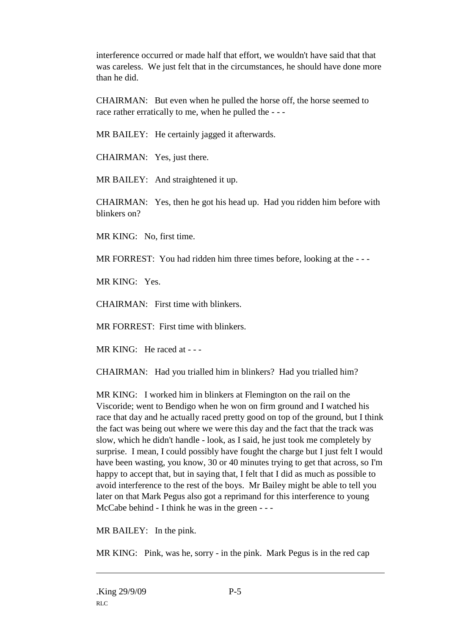interference occurred or made half that effort, we wouldn't have said that that was careless. We just felt that in the circumstances, he should have done more than he did.

CHAIRMAN: But even when he pulled the horse off, the horse seemed to race rather erratically to me, when he pulled the - - -

MR BAILEY: He certainly jagged it afterwards.

CHAIRMAN: Yes, just there.

MR BAILEY: And straightened it up.

CHAIRMAN: Yes, then he got his head up. Had you ridden him before with blinkers on?

MR KING: No, first time.

MR FORREST: You had ridden him three times before, looking at the - - -

MR KING: Yes.

CHAIRMAN: First time with blinkers.

MR FORREST: First time with blinkers.

MR KING: He raced at - - -

CHAIRMAN: Had you trialled him in blinkers? Had you trialled him?

MR KING: I worked him in blinkers at Flemington on the rail on the Viscoride; went to Bendigo when he won on firm ground and I watched his race that day and he actually raced pretty good on top of the ground, but I think the fact was being out where we were this day and the fact that the track was slow, which he didn't handle - look, as I said, he just took me completely by surprise. I mean, I could possibly have fought the charge but I just felt I would have been wasting, you know, 30 or 40 minutes trying to get that across, so I'm happy to accept that, but in saying that, I felt that I did as much as possible to avoid interference to the rest of the boys. Mr Bailey might be able to tell you later on that Mark Pegus also got a reprimand for this interference to young McCabe behind - I think he was in the green - - -

MR BAILEY: In the pink.

MR KING: Pink, was he, sorry - in the pink. Mark Pegus is in the red cap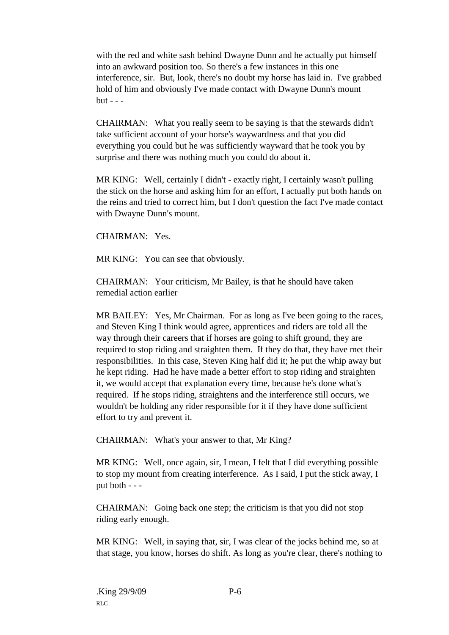with the red and white sash behind Dwayne Dunn and he actually put himself into an awkward position too. So there's a few instances in this one interference, sir. But, look, there's no doubt my horse has laid in. I've grabbed hold of him and obviously I've made contact with Dwayne Dunn's mount  $but - -$ 

CHAIRMAN: What you really seem to be saying is that the stewards didn't take sufficient account of your horse's waywardness and that you did everything you could but he was sufficiently wayward that he took you by surprise and there was nothing much you could do about it.

MR KING: Well, certainly I didn't - exactly right, I certainly wasn't pulling the stick on the horse and asking him for an effort, I actually put both hands on the reins and tried to correct him, but I don't question the fact I've made contact with Dwayne Dunn's mount.

CHAIRMAN: Yes.

MR KING: You can see that obviously.

CHAIRMAN: Your criticism, Mr Bailey, is that he should have taken remedial action earlier

MR BAILEY: Yes, Mr Chairman. For as long as I've been going to the races, and Steven King I think would agree, apprentices and riders are told all the way through their careers that if horses are going to shift ground, they are required to stop riding and straighten them. If they do that, they have met their responsibilities. In this case, Steven King half did it; he put the whip away but he kept riding. Had he have made a better effort to stop riding and straighten it, we would accept that explanation every time, because he's done what's required. If he stops riding, straightens and the interference still occurs, we wouldn't be holding any rider responsible for it if they have done sufficient effort to try and prevent it.

CHAIRMAN: What's your answer to that, Mr King?

MR KING: Well, once again, sir, I mean, I felt that I did everything possible to stop my mount from creating interference. As I said, I put the stick away, I put both - - -

CHAIRMAN: Going back one step; the criticism is that you did not stop riding early enough.

MR KING: Well, in saying that, sir, I was clear of the jocks behind me, so at that stage, you know, horses do shift. As long as you're clear, there's nothing to